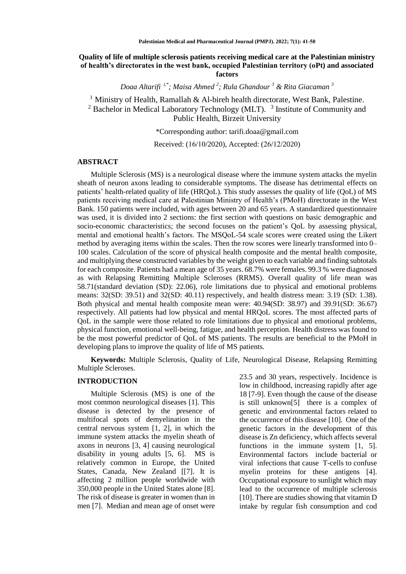# **Quality of life of multiple sclerosis patients receiving medical care at the Palestinian ministry of health's directorates in the west bank, occupied Palestinian territory (oPt) and associated factors**

*Doaa Altarifi* <sup>1</sup>*,\* ; Maisa Ahmed <sup>2</sup> ; Rula Ghandour <sup>3</sup> & Rita Giacaman <sup>3</sup>*

<sup>1</sup> Ministry of Health, Ramallah & Al-bireh health directorate, West Bank, Palestine. <sup>2</sup> Bachelor in Medical Laboratory Technology (MLT).  $3$  Institute of Community and Public Health, Birzeit University

\*Corresponding author: [tarifi.doaa@gmail.com](mailto:tarifi.doaa@gmail.com)

Received: (16/10/2020), Accepted: (26/12/2020)

### **ABSTRACT**

Multiple Sclerosis (MS) is a neurological disease where the immune system attacks the myelin sheath of neuron axons leading to considerable symptoms. The disease has detrimental effects on patients' health-related quality of life (HRQoL). This study assesses the quality of life (QoL) of MS patients receiving medical care at Palestinian Ministry of Health's (PMoH) directorate in the West Bank. 150 patients were included, with ages between 20 and 65 years. A standardized questionnaire was used, it is divided into 2 sections: the first section with questions on basic demographic and socio-economic characteristics; the second focuses on the patient's QoL by assessing physical, mental and emotional health's factors. The MSQoL-54 scale scores were created using the Likert method by averaging items within the scales. Then the row scores were linearly transformed into 0– 100 scales. Calculation of the score of physical health composite and the mental health composite, and multiplying these constructed variables by the weight given to each variable and finding subtotals for each composite. Patients had a mean age of 35 years. 68.7% were females. 99.3 % were diagnosed as with Relapsing Remitting Multiple Scleroses (RRMS). Overall quality of life mean was 58.71(standard deviation (SD): 22.06), role limitations due to physical and emotional problems means: 32(SD: 39.51) and 32(SD: 40.11) respectively, and health distress mean: 3.19 (SD: 1.38). Both physical and mental health composite mean were: 40.94(SD: 38.97) and 39.91(SD: 36.67) respectively. All patients had low physical and mental HRQoL scores. The most affected parts of QoL in the sample were those related to role limitations due to physical and emotional problems, physical function, emotional well-being, fatigue, and health perception. Health distress was found to be the most powerful predictor of QoL of MS patients. The results are beneficial to the PMoH in developing plans to improve the quality of life of MS patients.

**Keywords:** Multiple Sclerosis, Quality of Life, Neurological Disease, Relapsing Remitting Multiple Scleroses.

#### **INTRODUCTION**

Multiple Sclerosis (MS) is one of the most common neurological diseases [1]. This disease is detected by the presence of multifocal spots of demyelination in the central nervous system [1, 2], in which the immune system attacks the myelin sheath of axons in neurons [3, 4] causing neurological disability in young adults [5, 6]. MS is relatively common in Europe, the United States, Canada, New Zealand [[7]. It is affecting 2 million people worldwide with 350,000 people in the United States alone [8]. The risk of disease is greater in women than in men [7]. Median and mean age of onset were

23.5 and 30 years, respectively. Incidence is low in childhood, increasing rapidly after age 18 [7-9]. Even though the cause of the disease is still unknown[5] there is a complex of genetic and environmental factors related to the occurrence of this disease [10]. One of the genetic factors in the development of this disease is Zn deficiency, which affects several functions in the immune system [1, 5]. Environmental factors include bacterial or viral infections that cause T-cells to confuse myelin proteins for these antigens [4]. Occupational exposure to sunlight which may lead to the occurrence of multiple sclerosis [10]. There are studies showing that vitamin D intake by regular fish consumption and cod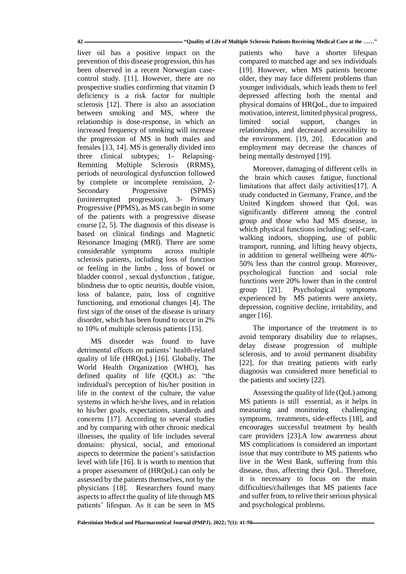#### **42 ـــــــــــــــــــــــــــــــــــــــــــــــــــــــــــــــــــــــــــــــــــــــــــ" Quality of Life of Multiple Sclerosis Patients Receiving Medical Care at the ……"**

liver oil has a positive impact on the prevention of this disease progression, this has been observed in a recent Norwegian casecontrol study. [11]. However, there are no prospective studies confirming that vitamin D deficiency is a risk factor for multiple sclerosis [12]. There is also an association between smoking and MS, where the relationship is dose-response, in which an increased frequency of smoking will increase the progression of MS in both males and females [13, 14]. MS is generally divided into three clinical subtypes; 1- Relapsing-Remitting Multiple Sclerosis (RRMS), periods of neurological dysfunction followed by complete or incomplete remission, 2- Secondary Progressive (SPMS) (uninterrupted progression), 3- Primary Progressive (PPMS), as MS can begin in some of the patients with a progressive disease course [2, 5]. The diagnosis of this disease is based on clinical findings and Magnetic Resonance Imaging (MRI). There are some considerable symptoms across multiple sclerosis patients, including loss of function or feeling in the limbs , loss of bowel or bladder control , sexual dysfunction , fatigue, blindness due to optic neuritis, double vision, loss of balance, pain, loss of cognitive functioning, and emotional changes [4]. The first sign of the onset of the disease is urinary disorder, which has been found to occur in 2% to 10% of multiple sclerosis patients [15].

MS disorder was found to have detrimental effects on patients' health-related quality of life (HRQoL) [16]. Globally, The World Health Organization (WHO), has defined quality of life (QOL) as: "the individual's perception of his/her position in life in the context of the culture, the value systems in which he/she lives, and in relation to his/her goals, expectations, standards and concerns [17]. According to several studies and by comparing with other chronic medical illnesses, the quality of life includes several domains: physical, social, and emotional aspects to determine the patient's satisfaction level with life [16]. It is worth to mention that a proper assessment of (HRQoL) can only be assessed by the patients themselves, not by the physicians [18]. Researchers found many aspects to affect the quality of life through MS patients' lifespan. As it can be seen in MS

patients who have a shorter lifespan compared to matched age and sex individuals [19]. However, when MS patients become older, they may face different problems than younger individuals, which leads them to feel depressed affecting both the mental and physical domains of HRQoL, due to impaired motivation, interest, limited physical progress, limited social support, changes in relationships, and decreased accessibility to the environment. [19, 20]. Education and employment may decrease the chances of being mentally destroyed [19].

Moreover, damaging of different cells in the brain which causes fatigue, functional limitations that affect daily activities[17]. A study conducted in Germany, France, and the United Kingdom showed that QoL was significantly different among the control group and those who had MS disease, in which physical functions including; self-care, walking indoors, shopping, use of public transport, running, and lifting heavy objects, in addition to general wellbeing were 40%- 50% less than the control group. Moreover, psychological function and social role functions were 20% lower than in the control group [21]. Psychological symptoms experienced by MS patients were anxiety, depression, cognitive decline, irritability, and anger [16].

The importance of the treatment is to avoid temporary disability due to relapses, delay disease progression of multiple sclerosis, and to avoid permanent disability [22], for that treating patients with early diagnosis was considered more beneficial to the patients and society [22].

Assessing the quality of life (QoL) among MS patients is still essential, as it helps in measuring and monitoring challenging symptoms, treatments, side-effects [18], and encourages successful treatment by health care providers [23].A low awareness about MS complications is considered an important issue that may contribute to MS patients who live in the West Bank, suffering from this disease, thus, affecting their QoL. Therefore, it is necessary to focus on the main difficulties/challenges that MS patients face and suffer from, to relive their serious physical and psychological problems.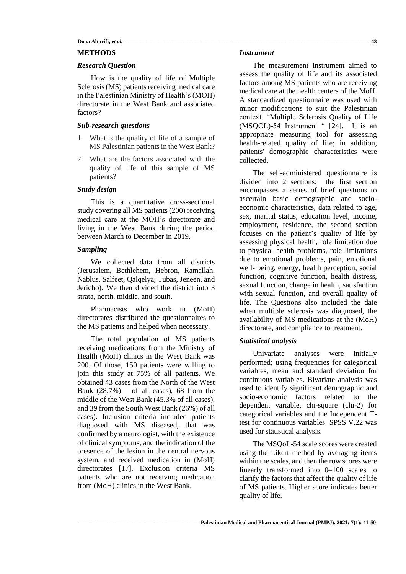Doaa Altarifi, et al.  $\overline{\phantom{a}}$  43

## **METHODS**

## *Research Question*

How is the quality of life of Multiple Sclerosis (MS) patients receiving medical care in the Palestinian Ministry of Health's (MOH) directorate in the West Bank and associated factors?

### *Sub-research questions*

- 1. What is the quality of life of a sample of MS Palestinian patients in the West Bank?
- 2. What are the factors associated with the quality of life of this sample of MS patients?

## *Study design*

This is a quantitative cross-sectional study covering all MS patients (200) receiving medical care at the MOH's directorate and living in the West Bank during the period between March to December in 2019.

# *Sampling*

We collected data from all districts (Jerusalem, Bethlehem, Hebron, Ramallah, Nablus, Salfeet, Qalqelya, Tubas, Jeneen, and Jericho). We then divided the district into 3 strata, north, middle, and south.

Pharmacists who work in (MoH) directorates distributed the questionnaires to the MS patients and helped when necessary.

The total population of MS patients receiving medications from the Ministry of Health (MoH) clinics in the West Bank was 200. Of those, 150 patients were willing to join this study at 75% of all patients. We obtained 43 cases from the North of the West Bank (28.7%) of all cases), 68 from the middle of the West Bank (45.3% of all cases), and 39 from the South West Bank (26%) of all cases). Inclusion criteria included patients diagnosed with MS diseased, that was confirmed by a neurologist, with the existence of clinical symptoms, and the indication of the presence of the lesion in the central nervous system, and received medication in (MoH) directorates [17]. Exclusion criteria MS patients who are not receiving medication from (MoH) clinics in the West Bank.

#### *Instrument*

The measurement instrument aimed to assess the quality of life and its associated factors among MS patients who are receiving medical care at the health centers of the MoH. A standardized questionnaire was used with minor modifications to suit the Palestinian context. "Multiple Sclerosis Quality of Life (MSQOL)-54 Instrument " [24]. It is an appropriate measuring tool for assessing health-related quality of life; in addition, patients' demographic characteristics were collected.

The self-administered questionnaire is divided into 2 sections: the first section encompasses a series of brief questions to ascertain basic demographic and socioeconomic characteristics, data related to age, sex, marital status, education level, income, employment, residence, the second section focuses on the patient's quality of life by assessing physical health, role limitation due to physical health problems, role limitations due to emotional problems, pain, emotional well- being, energy, health perception, social function, cognitive function, health distress, sexual function, change in health, satisfaction with sexual function, and overall quality of life. The Questions also included the date when multiple sclerosis was diagnosed, the availability of MS medications at the (MoH) directorate, and compliance to treatment.

## *Statistical analysis*

Univariate analyses were initially performed; using frequencies for categorical variables, mean and standard deviation for continuous variables. Bivariate analysis was used to identify significant demographic and socio-economic factors related to the dependent variable, chi-square (chi-2) for categorical variables and the Independent Ttest for continuous variables. SPSS V.22 was used for statistical analysis.

The MSQoL-54 scale scores were created using the Likert method by averaging items within the scales, and then the row scores were linearly transformed into 0–100 scales to clarify the factors that affect the quality of life of MS patients. Higher score indicates better quality of life.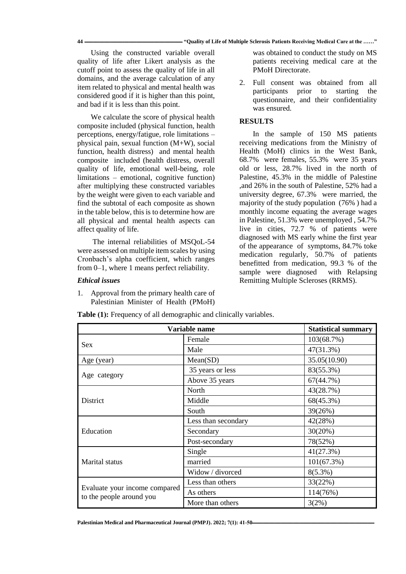Using the constructed variable overall quality of life after Likert analysis as the cutoff point to assess the quality of life in all domains, and the average calculation of any item related to physical and mental health was considered good if it is higher than this point, and bad if it is less than this point.

We calculate the score of physical health composite included (physical function, health perceptions, energy/fatigue, role limitations – physical pain, sexual function (M+W), social function, health distress) and mental health composite included (health distress, overall quality of life, emotional well-being, role limitations – emotional, cognitive function) after multiplying these constructed variables by the weight were given to each variable and find the subtotal of each composite as shown in the table below, this is to determine how are all physical and mental health aspects can affect quality of life.

The internal reliabilities of MSQoL-54 were assessed on multiple item scales by using Cronbach's alpha coefficient, which ranges from 0–1, where 1 means perfect reliability.

## *Ethical issues*

1. Approval from the primary health care of Palestinian Minister of Health (PMoH)

**Table (1):** Frequency of all demographic and clinically variables.

was obtained to conduct the study on MS patients receiving medical care at the PMoH Directorate.

2. Full consent was obtained from all participants prior to starting the questionnaire, and their confidentiality was ensured.

## **RESULTS**

In the sample of 150 MS patients receiving medications from the Ministry of Health (MoH) clinics in the West Bank, 68.7% were females, 55.3% were 35 years old or less, 28.7% lived in the north of Palestine, 45.3% in the middle of Palestine ,and 26% in the south of Palestine, 52% had a university degree, 67.3% were married, the majority of the study population (76% ) had a monthly income equating the average wages in Palestine, 51.3% were unemployed , 54.7% live in cities, 72.7 % of patients were diagnosed with MS early whine the first year of the appearance of symptoms, 84.7% toke medication regularly, 50.7% of patients benefitted from medication, 99.3 % of the sample were diagnosed with Relapsing Remitting Multiple Scleroses (RRMS).

| Variable name                                             |                     | <b>Statistical summary</b> |  |
|-----------------------------------------------------------|---------------------|----------------------------|--|
| <b>Sex</b>                                                | Female              | 103(68.7%)                 |  |
|                                                           | Male                | 47(31.3%)                  |  |
| Age (year)                                                | Mean(SD)            | 35.05(10.90)               |  |
| Age category                                              | 35 years or less    | 83(55.3%)                  |  |
|                                                           | Above 35 years      | 67(44.7%)                  |  |
|                                                           | North               | 43(28.7%)                  |  |
| District                                                  | Middle              | 68(45.3%)                  |  |
|                                                           | South               | 39(26%)                    |  |
|                                                           | Less than secondary | 42(28%)                    |  |
| Education                                                 | Secondary           | 30(20%)                    |  |
|                                                           | Post-secondary      | 78(52%)                    |  |
| Marital status                                            | Single              | 41(27.3%)                  |  |
|                                                           | married             | 101(67.3%)                 |  |
|                                                           | Widow / divorced    | $8(5.3\%)$                 |  |
| Evaluate your income compared<br>to the people around you | Less than others    | 33(22%)                    |  |
|                                                           | As others           | 114(76%)                   |  |
|                                                           | More than others    | 3(2%)                      |  |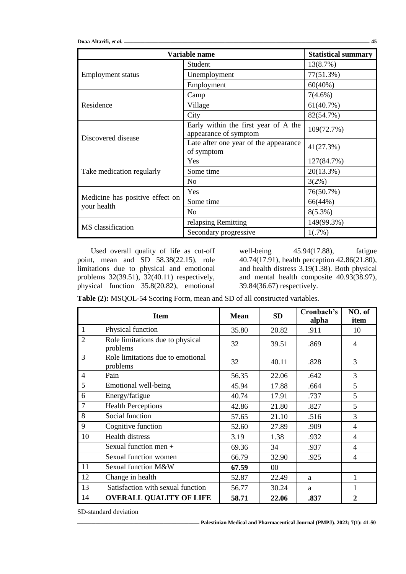Doaa Altarifi, et al.  $\overline{\phantom{a}}$  45

| Variable name                                  | <b>Statistical summary</b>                                    |              |
|------------------------------------------------|---------------------------------------------------------------|--------------|
| <b>Employment status</b>                       | Student                                                       | 13(8.7%)     |
|                                                | Unemployment                                                  | 77(51.3%)    |
|                                                | Employment                                                    | $60(40\%)$   |
|                                                | Camp                                                          | $7(4.6\%)$   |
| Residence                                      | Village                                                       | 61(40.7%)    |
|                                                | City                                                          | 82(54.7%)    |
| Discovered disease                             | Early within the first year of A the<br>appearance of symptom | 109(72.7%)   |
|                                                | Late after one year of the appearance<br>of symptom           | 41(27.3%)    |
|                                                | Yes                                                           | 127(84.7%)   |
| Take medication regularly                      | Some time                                                     | $20(13.3\%)$ |
|                                                | N <sub>0</sub>                                                | 3(2%)        |
| Medicine has positive effect on<br>your health | Yes                                                           | 76(50.7%)    |
|                                                | Some time                                                     | 66(44%)      |
|                                                | No                                                            | $8(5.3\%)$   |
| MS classification                              | relapsing Remitting                                           | 149(99.3%)   |
|                                                | Secondary progressive                                         | 1(.7%)       |

Used overall quality of life as cut-off point, mean and SD 58.38(22.15), role limitations due to physical and emotional problems 32(39.51), 32(40.11) respectively, physical function 35.8(20.82), emotional

well-being 45.94(17.88), fatigue 40.74(17.91), health perception 42.86(21.80), and health distress 3.19(1.38). Both physical and mental health composite 40.93(38.97), 39.84(36.67) respectively.

**Table (2):** MSQOL-54 Scoring Form, mean and SD of all constructed variables.

|                | <b>Item</b>                                   | <b>Mean</b> | <b>SD</b>       | Cronbach's<br>alpha | NO. of<br>item           |
|----------------|-----------------------------------------------|-------------|-----------------|---------------------|--------------------------|
| 1              | Physical function                             | 35.80       | 20.82           | .911                | 10                       |
| $\overline{2}$ | Role limitations due to physical<br>problems  | 32          | 39.51           | .869                | 4                        |
| 3              | Role limitations due to emotional<br>problems | 32          | 40.11           | .828                | 3                        |
| $\overline{4}$ | Pain                                          | 56.35       | 22.06           | .642                | 3                        |
| 5              | Emotional well-being                          | 45.94       | 17.88           | .664                | 5                        |
| 6              | Energy/fatigue                                | 40.74       | 17.91           | .737                | 5                        |
| 7              | <b>Health Perceptions</b>                     | 42.86       | 21.80           | .827                | 5                        |
| 8              | Social function                               | 57.65       | 21.10           | .516                | 3                        |
| 9              | Cognitive function                            | 52.60       | 27.89           | .909                | 4                        |
| 10             | <b>Health distress</b>                        | 3.19        | 1.38            | .932                | $\overline{\mathcal{A}}$ |
|                | Sexual function men +                         | 69.36       | 34              | .937                | $\overline{4}$           |
|                | Sexual function women                         | 66.79       | 32.90           | .925                | 4                        |
| 11             | Sexual function M&W                           | 67.59       | 00 <sup>1</sup> |                     |                          |
| 12             | Change in health                              | 52.87       | 22.49           | a                   | 1                        |
| 13             | Satisfaction with sexual function             | 56.77       | 30.24           | a                   | 1                        |
| 14             | <b>OVERALL QUALITY OF LIFE</b>                | 58.71       | 22.06           | .837                | $\overline{2}$           |

SD-standard deviation

**ـــــــــــــــــــــــــــــــــــــــــــــــــــــــــــــــــــــــــــــــــــــــــــــــــــــــــــــــــ [Palestinian Medical and Pharmaceutical Journal \(PMPJ\).](https://journals.najah.edu/journal/pmpj/browse-by-issue/) 2022; 7(1): 41-50**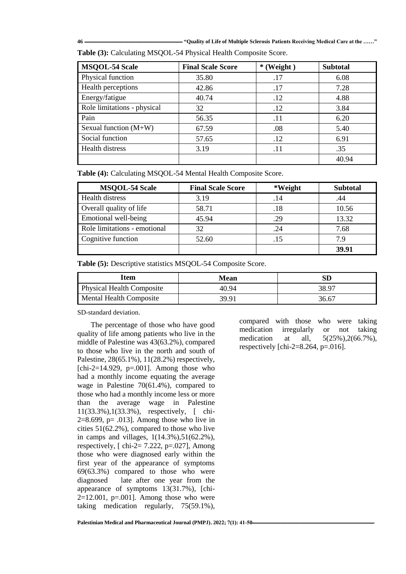**46 ـــــــــــــــــــــــــــــــــــــــــــــــــــــــــــــــــــــــــــــــــــــــــــ" Quality of Life of Multiple Sclerosis Patients Receiving Medical Care at the ……"**

| <b>MSQOL-54 Scale</b>       | <b>Final Scale Score</b> | $*(Weight)$ | <b>Subtotal</b> |
|-----------------------------|--------------------------|-------------|-----------------|
| Physical function           | 35.80                    | .17         | 6.08            |
| Health perceptions          | 42.86                    | .17         | 7.28            |
| Energy/fatigue              | 40.74                    | .12         | 4.88            |
| Role limitations - physical | 32                       | .12         | 3.84            |
| Pain                        | 56.35                    | .11         | 6.20            |
| Sexual function $(M+W)$     | 67.59                    | .08         | 5.40            |
| Social function             | 57.65                    | .12         | 6.91            |
| Health distress             | 3.19                     | .11         | .35             |
|                             |                          |             | 40.94           |

**Table (3):** Calculating MSQOL-54 Physical Health Composite Score.

**Table (4):** Calculating MSQOL-54 Mental Health Composite Score.

| <b>MSQOL-54 Scale</b>        | <b>Final Scale Score</b> | *Weight | <b>Subtotal</b> |
|------------------------------|--------------------------|---------|-----------------|
| Health distress              | 3.19                     | .14     | .44             |
| Overall quality of life      | 58.71                    | .18     | 10.56           |
| Emotional well-being         | 45.94                    | .29     | 13.32           |
| Role limitations - emotional | 32                       | .24     | 7.68            |
| Cognitive function           | 52.60                    | .15     | 7 Q             |
|                              |                          |         | 39.91           |

**Table (5):** Descriptive statistics MSQOL-54 Composite Score.

| Item                             | Mean  | SГ    |
|----------------------------------|-------|-------|
| <b>Physical Health Composite</b> | 40.94 | 38.97 |
| <b>Mental Health Composite</b>   | 39 91 | 36.67 |

SD-standard deviation.

The percentage of those who have good quality of life among patients who live in the middle of Palestine was 43(63.2%), compared to those who live in the north and south of Palestine, 28(65.1%), 11(28.2%) respectively,  $[chi-2=14.929, p=.001]$ . Among those who had a monthly income equating the average wage in Palestine 70(61.4%), compared to those who had a monthly income less or more than the average wage in Palestine 11(33.3%),1(33.3%), respectively, [ chi- $2=8.699$ , p= .013]. Among those who live in cities 51(62.2%), compared to those who live in camps and villages,  $1(14.3\%)$ ,  $51(62.2\%)$ , respectively,  $[$  chi-2= 7.222, p=.027], Among those who were diagnosed early within the first year of the appearance of symptoms 69(63.3%) compared to those who were diagnosed late after one year from the appearance of symptoms 13(31.7%), [chi- $2=12.001$ , p=.001]. Among those who were taking medication regularly, 75(59.1%),

compared with those who were taking medication irregularly or not taking medication at all,  $5(25\%)$ ,  $2(66.7\%)$ , respectively [chi-2=8.264,  $p=.016$ ].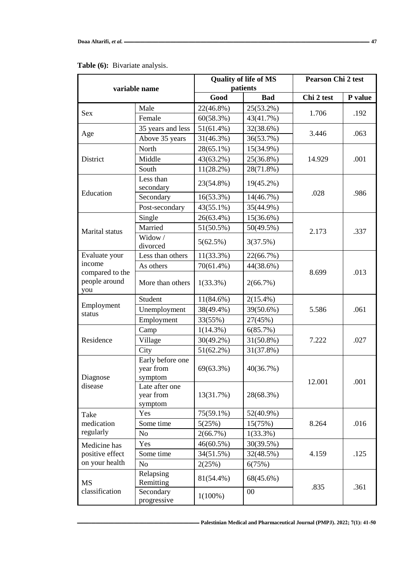| variable name                                     |                                          | <b>Quality of life of MS</b><br>patients |             | <b>Pearson Chi 2 test</b> |         |
|---------------------------------------------------|------------------------------------------|------------------------------------------|-------------|---------------------------|---------|
|                                                   |                                          | Good                                     | <b>Bad</b>  | Chi 2 test                | P value |
|                                                   | Male                                     | 22(46.8%)                                | 25(53.2%)   | 1.706                     | .192    |
| Sex                                               | Female                                   | 60(58.3%)                                | 43(41.7%)   |                           |         |
| Age                                               | 35 years and less                        | $51(61.4\%)$                             | 32(38.6%)   | 3.446                     | .063    |
|                                                   | Above 35 years                           | 31(46.3%)                                | 36(53.7%)   |                           |         |
|                                                   | North                                    | 28(65.1%)                                | 15(34.9%)   |                           | .001    |
| District                                          | Middle                                   | 43(63.2%)                                | 25(36.8%)   | 14.929                    |         |
|                                                   | South                                    | $11(28.2\%)$                             | 28(71.8%)   |                           |         |
|                                                   | Less than<br>secondary                   | 23(54.8%)                                | 19(45.2%)   |                           |         |
| Education                                         | Secondary                                | $16(53.3\%)$                             | 14(46.7%)   | .028                      | .986    |
|                                                   | Post-secondary                           | 43(55.1%)                                | 35(44.9%)   |                           |         |
|                                                   | Single                                   | 26(63.4%)                                | 15(36.6%)   |                           |         |
| Marital status                                    | Married                                  | 51(50.5%)                                | 50(49.5%)   | 2.173                     | .337    |
|                                                   | Widow/<br>divorced                       | 5(62.5%)                                 | 3(37.5%)    |                           |         |
| Evaluate your                                     | Less than others                         | $11(33.3\%)$                             | 22(66.7%)   |                           |         |
| income                                            | As others                                | $70(61.4\%)$                             | 44(38.6%)   | 8.699                     | .013    |
| compared to the<br>people around<br>you           | More than others                         | $1(33.3\%)$                              | 2(66.7%)    |                           |         |
|                                                   | Student                                  | $11(84.6\%)$                             | $2(15.4\%)$ |                           | .061    |
| Employment<br>status                              | Unemployment                             | 38(49.4%)                                | 39(50.6%)   | 5.586                     |         |
|                                                   | Employment                               | 33(55%)                                  | 27(45%)     |                           |         |
|                                                   | Camp                                     | $1(14.3\%)$                              | 6(85.7%)    |                           | .027    |
| Residence                                         | Village                                  | $30(49.2\%)$                             | 31(50.8%)   | 7.222                     |         |
|                                                   | City                                     | $51(62.2\%)$                             | 31(37.8%)   |                           |         |
| Diagnose<br>disease                               | Early before one<br>year from<br>symptom | 69(63.3%)                                | 40(36.7%)   | 12.001                    | .001    |
|                                                   | Late after one<br>year from<br>symptom   | 13(31.7%)                                | 28(68.3%)   |                           |         |
| Take                                              | Yes                                      | 75(59.1%)                                | 52(40.9%)   |                           |         |
| medication                                        | Some time                                | 5(25%)                                   | 15(75%)     | 8.264                     | .016    |
| regularly                                         | N <sub>o</sub>                           | $2(66.7\%)$                              | $1(33.3\%)$ |                           |         |
| Medicine has<br>positive effect<br>on your health | Yes                                      | 46(60.5%)                                | 30(39.5%)   | 4.159                     | .125    |
|                                                   | Some time                                | 34(51.5%)                                | 32(48.5%)   |                           |         |
|                                                   | N <sub>o</sub>                           | 2(25%)                                   | 6(75%)      |                           |         |
| <b>MS</b><br>classification                       | Relapsing<br>Remitting                   | 81(54.4%)                                | 68(45.6%)   |                           |         |
|                                                   | Secondary<br>progressive                 | $1(100\%)$                               | $00\,$      | .835                      | .361    |

# **Table (6):** Bivariate analysis.

**ـــــــــــــــــــــــــــــــــــــــــــــــــــــــــــــــــــــــــــــــــــــــــــــــــــــــــــــــــ [Palestinian Medical and Pharmaceutical Journal \(PMPJ\).](https://journals.najah.edu/journal/pmpj/browse-by-issue/) 2022; 7(1): 41-50**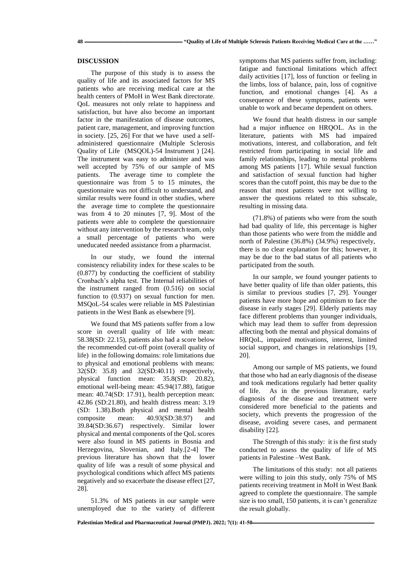#### **DISCUSSION**

The purpose of this study is to assess the quality of life and its associated factors for MS patients who are receiving medical care at the health centers of PMoH in West Bank directorate. QoL measures not only relate to happiness and satisfaction, but have also become an important factor in the manifestation of disease outcomes, patient care, management, and improving function in society. [25, 26] For that we have used a selfadministered questionnaire (Multiple Sclerosis Quality of Life (MSQOL)-54 Instrument ) [24]. The instrument was easy to administer and was well accepted by 75% of our sample of MS patients. The average time to complete the questionnaire was from 5 to 15 minutes, the questionnaire was not difficult to understand, and similar results were found in other studies, where the average time to complete the questionnaire was from 4 to 20 minutes [7, 9]. Most of the patients were able to complete the questionnaire without any intervention by the research team, only a small percentage of patients who were uneducated needed assistance from a pharmacist.

In our study, we found the internal consistency reliability index for these scales to be (0.877) by conducting the coefficient of stability Cronbach's alpha test. The Internal reliabilities of the instrument ranged from (0.516) on social function to (0.937) on sexual function for men. MSQoL-54 scales were reliable in MS Palestinian patients in the West Bank as elsewhere [9].

We found that MS patients suffer from a low score in overall quality of life with mean: 58.38(SD: 22.15), patients also had a score below the recommended cut-off point (overall quality of life) in the following domains: role limitations due to physical and emotional problems with means: 32(SD: 35.8) and 32(SD:40.11) respectively, physical function mean: 35.8(SD: 20.82), emotional well-being mean: 45.94(17.88), fatigue mean: 40.74(SD: 17.91), health perception mean: 42.86 (SD:21.80), and health distress mean: 3.19 (SD: 1.38).Both physical and mental health composite mean: 40.93(SD:38.97) and 39.84(SD:36.67) respectively. Similar lower physical and mental components of the QoL scores were also found in MS patients in Bosnia and Herzegovina, Slovenian, and Italy.[2-4] The previous literature has shown that the lower quality of life was a result of some physical and psychological conditions which affect MS patients negatively and so exacerbate the disease effect [27, 28].

51.3% of MS patients in our sample were unemployed due to the variety of different symptoms that MS patients suffer from, including: fatigue and functional limitations which affect daily activities [17], loss of function or feeling in the limbs, loss of balance, pain, loss of cognitive function, and emotional changes [4]. As a consequence of these symptoms, patients were unable to work and became dependent on others.

We found that health distress in our sample had a major influence on HRQOL. As in the literature, patients with MS had impaired motivations, interest, and collaboration, and felt restricted from participating in social life and family relationships, leading to mental problems among MS patients [17]. While sexual function and satisfaction of sexual function had higher scores than the cutoff point, this may be due to the reason that most patients were not willing to answer the questions related to this subscale, resulting in missing data.

(71.8%) of patients who were from the south had bad quality of life, this percentage is higher than those patients who were from the middle and north of Palestine (36.8%) (34.9%) respectively, there is no clear explanation for this; however, it may be due to the bad status of all patients who participated from the south.

In our sample, we found younger patients to have better quality of life than older patients, this is similar to previous studies [7, 29]. Younger patients have more hope and optimism to face the disease in early stages [29]. Elderly patients may face different problems than younger individuals, which may lead them to suffer from depression affecting both the mental and physical domains of HRQoL, impaired motivations, interest, limited social support, and changes in relationships [19, 20].

Among our sample of MS patients, we found that those who had an early diagnosis of the disease and took medications regularly had better quality of life. As in the previous literature, early diagnosis of the disease and treatment were considered more beneficial to the patients and society, which prevents the progression of the disease, avoiding severe cases, and permanent disability [22].

The Strength of this study: it is the first study conducted to assess the quality of life of MS patients in Palestine –West Bank.

The limitations of this study: not all patients were willing to join this study, only 75% of MS patients receiving treatment in MoH in West Bank agreed to complete the questionnaire. The sample size is too small, 150 patients, it is can't generalize the result globally.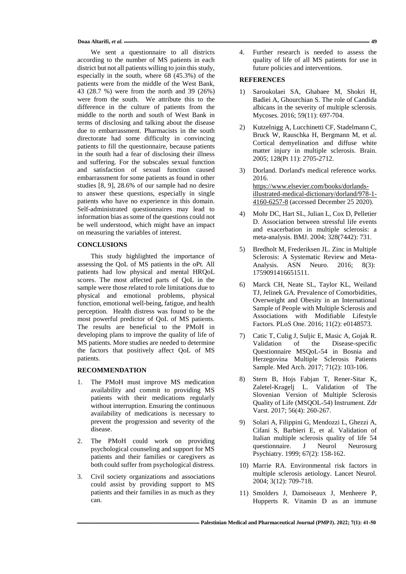**Doaa Altarifi,** *et al.* **ــــــــــــــــــــــــــــــــــــــــــــــــــــــــــــــــــــــــــــــــــــــــــــــــــــــــــــــــــــــــــــــــــــــــــــــــــــــــــــــــــــــــــــــــــــــــــــــــــــــــــــــــــــــــــــــــــــ 49**

We sent a questionnaire to all districts according to the number of MS patients in each district but not all patients willing to join this study, especially in the south, where 68 (45.3%) of the patients were from the middle of the West Bank, 43 (28.7 %) were from the north and 39 (26%) were from the south. We attribute this to the difference in the culture of patients from the middle to the north and south of West Bank in terms of disclosing and talking about the disease due to embarrassment. Pharmacists in the south directorate had some difficulty in convincing patients to fill the questionnaire, because patients in the south had a fear of disclosing their illness and suffering. For the subscales sexual function and satisfaction of sexual function caused embarrassment for some patients as found in other studies [8, 9], 28.6% of our sample had no desire to answer these questions, especially in single patients who have no experience in this domain. Self-administrated questionnaires may lead to information bias as some of the questions could not be well understood, which might have an impact on measuring the variables of interest.

#### **CONCLUSIONS**

This study highlighted the importance of assessing the QoL of MS patients in the oPt. All patients had low physical and mental HRQoL scores. The most affected parts of QoL in the sample were those related to role limitations due to physical and emotional problems, physical function, emotional well-being, fatigue, and health perception. Health distress was found to be the most powerful predictor of QoL of MS patients. The results are beneficial to the PMoH in developing plans to improve the quality of life of MS patients. More studies are needed to determine the factors that positively affect QoL of MS patients.

### **RECOMMENDATION**

- 1. The PMoH must improve MS medication availability and commit to providing MS patients with their medications regularly without interruption. Ensuring the continuous availability of medications is necessary to prevent the progression and severity of the disease.
- 2. The PMoH could work on providing psychological counseling and support for MS patients and their families or caregivers as both could suffer from psychological distress.
- 3. Civil society organizations and associations could assist by providing support to MS patients and their families in as much as they can.

4. Further research is needed to assess the quality of life of all MS patients for use in future policies and interventions.

### **REFERENCES**

- 1) Saroukolaei SA, Ghabaee M, Shokri H, Badiei A, Ghourchian S. The role of Candida albicans in the severity of multiple sclerosis. Mycoses. 2016; 59(11): 697-704.
- 2) Kutzelnigg A, Lucchinetti CF, Stadelmann C, Bruck W, Rauschka H, Bergmann M, et al. Cortical demyelination and diffuse white matter injury in multiple sclerosis. Brain. 2005; 128(Pt 11): 2705-2712.
- 3) Dorland. Dorland's medical reference works. 2016. [https://www.elsevier.com/books/dorlands](https://www.elsevier.com/books/dorlands-illustrated-medical-dictionary/dorland/978-1-4160-6257-8)[illustrated-medical-dictionary/dorland/978-1-](https://www.elsevier.com/books/dorlands-illustrated-medical-dictionary/dorland/978-1-4160-6257-8) [4160-6257-8](https://www.elsevier.com/books/dorlands-illustrated-medical-dictionary/dorland/978-1-4160-6257-8) (accessed December 25 2020).
- 4) Mohr DC, Hart SL, Julian L, Cox D, Pelletier D. Association between stressful life events and exacerbation in multiple sclerosis: a meta-analysis. BMJ. 2004; 328(7442): 731.
- 5) Bredholt M, Frederiksen JL. Zinc in Multiple Sclerosis: A Systematic Review and Meta-Analysis. ASN Neuro. 2016; 8(3): 1759091416651511.
- 6) Marck CH, Neate SL, Taylor KL, Weiland TJ, Jelinek GA. Prevalence of Comorbidities, Overweight and Obesity in an International Sample of People with Multiple Sclerosis and Associations with Modifiable Lifestyle Factors. PLoS One. 2016; 11(2): e0148573.
- 7) Catic T, Culig J, Suljic E, Masic A, Gojak R. Validation of the Disease-specific Questionnaire MSQoL-54 in Bosnia and Herzegovina Multiple Sclerosis Patients Sample. Med Arch. 2017; 71(2): 103-106.
- 8) Stern B, Hojs Fabjan T, Rener-Sitar K, Zaletel-Kragelj L. Validation of The Slovenian Version of Multiple Sclerosis Quality of Life (MSQOL-54) Instrument. Zdr Varst. 2017; 56(4): 260-267.
- 9) Solari A, Filippini G, Mendozzi L, Ghezzi A, Cifani S, Barbieri E, et al. Validation of Italian multiple sclerosis quality of life 54 questionnaire. J Neurol Neurosurg Psychiatry. 1999; 67(2): 158-162.
- 10) Marrie RA. Environmental risk factors in multiple sclerosis aetiology. Lancet Neurol. 2004; 3(12): 709-718.
- 11) Smolders J, Damoiseaux J, Menheere P, Hupperts R. Vitamin D as an immune